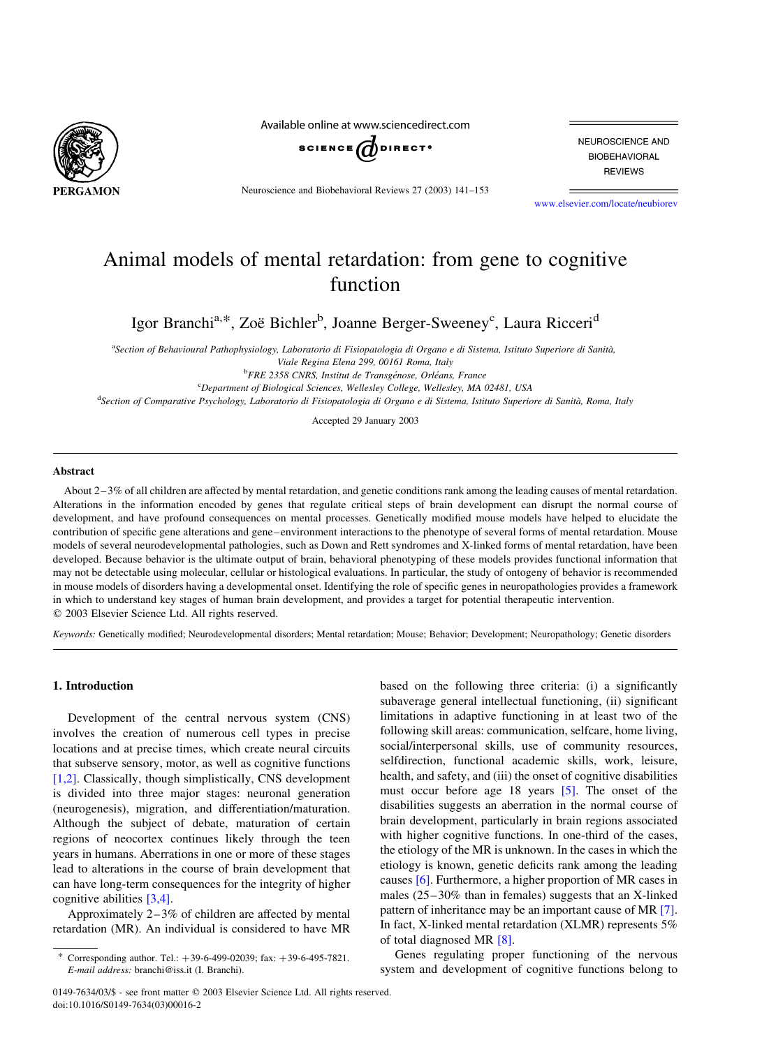

Available online at www.sciencedirect.com



Neuroscience and Biobehavioral Reviews 27 (2003) 141–153

NEUROSCIENCE AND **BIOBEHAVIORAL REVIEWS** 

[www.elsevier.com/locate/neubiorev](http://www.elsevier.com/locate/neubiorev)

## Animal models of mental retardation: from gene to cognitive function

Igor Branchi<sup>a,\*</sup>, Zoë Bichler<sup>b</sup>, Joanne Berger-Sweeney<sup>c</sup>, Laura Ricceri<sup>d</sup>

a<br>Section of Behavioural Pathophysiology, Laboratorio di Fisiopatologia di Organo e di Sistema, Istituto Superiore di Sanità, Viale Regina Elena 299, 00161 Roma, Italy

<sup>b</sup>FRE 2358 CNRS, Institut de Transgénose, Orléans, France

<sup>c</sup>Department of Biological Sciences, Wellesley College, Wellesley, MA 02481, USA

<sup>d</sup> Section of Comparative Psychology, Laboratorio di Fisiopatologia di Organo e di Sistema, Istituto Superiore di Sanità, Roma, Italy

Accepted 29 January 2003

#### Abstract

About 2–3% of all children are affected by mental retardation, and genetic conditions rank among the leading causes of mental retardation. Alterations in the information encoded by genes that regulate critical steps of brain development can disrupt the normal course of development, and have profound consequences on mental processes. Genetically modified mouse models have helped to elucidate the contribution of specific gene alterations and gene–environment interactions to the phenotype of several forms of mental retardation. Mouse models of several neurodevelopmental pathologies, such as Down and Rett syndromes and X-linked forms of mental retardation, have been developed. Because behavior is the ultimate output of brain, behavioral phenotyping of these models provides functional information that may not be detectable using molecular, cellular or histological evaluations. In particular, the study of ontogeny of behavior is recommended in mouse models of disorders having a developmental onset. Identifying the role of specific genes in neuropathologies provides a framework in which to understand key stages of human brain development, and provides a target for potential therapeutic intervention.  $©$  2003 Elsevier Science Ltd. All rights reserved.

Keywords: Genetically modified; Neurodevelopmental disorders; Mental retardation; Mouse; Behavior; Development; Neuropathology; Genetic disorders

#### 1. Introduction

Development of the central nervous system (CNS) involves the creation of numerous cell types in precise locations and at precise times, which create neural circuits that subserve sensory, motor, as well as cognitive functions [\[1,2\].](#page--1-0) Classically, though simplistically, CNS development is divided into three major stages: neuronal generation (neurogenesis), migration, and differentiation/maturation. Although the subject of debate, maturation of certain regions of neocortex continues likely through the teen years in humans. Aberrations in one or more of these stages lead to alterations in the course of brain development that can have long-term consequences for the integrity of higher cognitive abilities [\[3,4\].](#page--1-0)

Approximately 2–3% of children are affected by mental retardation (MR). An individual is considered to have MR based on the following three criteria: (i) a significantly subaverage general intellectual functioning, (ii) significant limitations in adaptive functioning in at least two of the following skill areas: communication, selfcare, home living, social/interpersonal skills, use of community resources, selfdirection, functional academic skills, work, leisure, health, and safety, and (iii) the onset of cognitive disabilities must occur before age 18 years  $[5]$ . The onset of the disabilities suggests an aberration in the normal course of brain development, particularly in brain regions associated with higher cognitive functions. In one-third of the cases, the etiology of the MR is unknown. In the cases in which the etiology is known, genetic deficits rank among the leading causes [\[6\].](#page--1-0) Furthermore, a higher proportion of MR cases in males (25–30% than in females) suggests that an X-linked pattern of inheritance may be an important cause of MR [\[7\]](#page--1-0). In fact, X-linked mental retardation (XLMR) represents 5% of total diagnosed MR [\[8\]](#page--1-0).

Genes regulating proper functioning of the nervous system and development of cognitive functions belong to

Corresponding author. Tel.:  $+39-6-499-02039$ ; fax:  $+39-6-495-7821$ . E-mail address: branchi@iss.it (I. Branchi).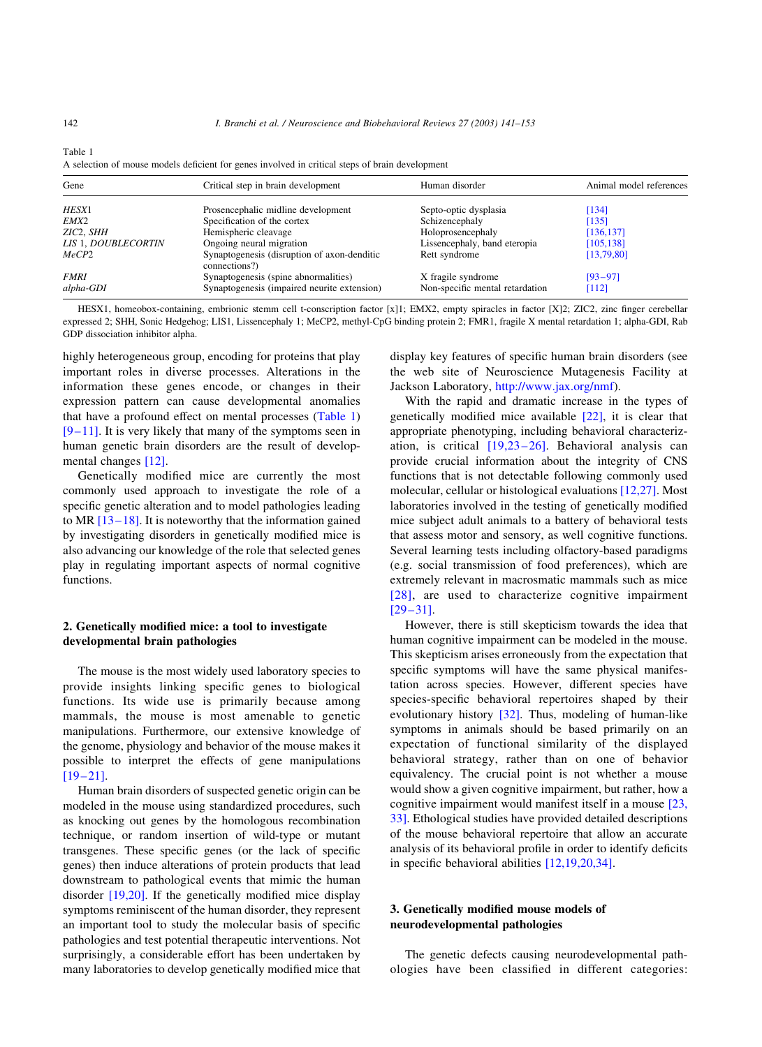| Gene                | Critical step in brain development                           | Human disorder                  | Animal model references |
|---------------------|--------------------------------------------------------------|---------------------------------|-------------------------|
| HESX1               | Prosencephalic midline development                           | Septo-optic dysplasia           | [134]                   |
| EMX2                | Specification of the cortex                                  | Schizencephaly                  | [135]                   |
| ZIC2, SHH           | Hemispheric cleavage                                         | Holoprosencephaly               | [136, 137]              |
| LIS 1, DOUBLECORTIN | Ongoing neural migration                                     | Lissencephaly, band eteropia    | [105, 138]              |
| MeCP2               | Synaptogenesis (disruption of axon-denditic<br>connections?) | Rett syndrome                   | [13,79,80]              |
| <i>FMRI</i>         | Synaptogenesis (spine abnormalities)                         | X fragile syndrome              | $[93 - 97]$             |
| alpha-GDI           | Synaptogenesis (impaired neurite extension)                  | Non-specific mental retardation | [112]                   |

Table 1 A selection of mouse models deficient for genes involved in critical steps of brain development

HESX1, homeobox-containing, embrionic stemm cell t-conscription factor [x]1; EMX2, empty spiracles in factor [X]2; ZIC2, zinc finger cerebellar expressed 2; SHH, Sonic Hedgehog; LIS1, Lissencephaly 1; MeCP2, methyl-CpG binding protein 2; FMR1, fragile X mental retardation 1; alpha-GDI, Rab GDP dissociation inhibitor alpha.

highly heterogeneous group, encoding for proteins that play important roles in diverse processes. Alterations in the information these genes encode, or changes in their expression pattern can cause developmental anomalies that have a profound effect on mental processes (Table 1)  $[9-11]$ . It is very likely that many of the symptoms seen in human genetic brain disorders are the result of developmental changes [\[12\].](#page--1-0)

Genetically modified mice are currently the most commonly used approach to investigate the role of a specific genetic alteration and to model pathologies leading to MR [\[13–18\].](#page--1-0) It is noteworthy that the information gained by investigating disorders in genetically modified mice is also advancing our knowledge of the role that selected genes play in regulating important aspects of normal cognitive functions.

## 2. Genetically modified mice: a tool to investigate developmental brain pathologies

The mouse is the most widely used laboratory species to provide insights linking specific genes to biological functions. Its wide use is primarily because among mammals, the mouse is most amenable to genetic manipulations. Furthermore, our extensive knowledge of the genome, physiology and behavior of the mouse makes it possible to interpret the effects of gene manipulations [\[19–21\]](#page--1-0).

Human brain disorders of suspected genetic origin can be modeled in the mouse using standardized procedures, such as knocking out genes by the homologous recombination technique, or random insertion of wild-type or mutant transgenes. These specific genes (or the lack of specific genes) then induce alterations of protein products that lead downstream to pathological events that mimic the human disorder [\[19,20\]](#page--1-0). If the genetically modified mice display symptoms reminiscent of the human disorder, they represent an important tool to study the molecular basis of specific pathologies and test potential therapeutic interventions. Not surprisingly, a considerable effort has been undertaken by many laboratories to develop genetically modified mice that display key features of specific human brain disorders (see the web site of Neuroscience Mutagenesis Facility at Jackson Laboratory, <http://www.jax.org/nmf>).

With the rapid and dramatic increase in the types of genetically modified mice available [\[22\],](#page--1-0) it is clear that appropriate phenotyping, including behavioral characterization, is critical [\[19,23–26\].](#page--1-0) Behavioral analysis can provide crucial information about the integrity of CNS functions that is not detectable following commonly used molecular, cellular or histological evaluations [\[12,27\].](#page--1-0) Most laboratories involved in the testing of genetically modified mice subject adult animals to a battery of behavioral tests that assess motor and sensory, as well cognitive functions. Several learning tests including olfactory-based paradigms (e.g. social transmission of food preferences), which are extremely relevant in macrosmatic mammals such as mice [\[28\]](#page--1-0), are used to characterize cognitive impairment [\[29–31\]](#page--1-0).

However, there is still skepticism towards the idea that human cognitive impairment can be modeled in the mouse. This skepticism arises erroneously from the expectation that specific symptoms will have the same physical manifestation across species. However, different species have species-specific behavioral repertoires shaped by their evolutionary history [\[32\].](#page--1-0) Thus, modeling of human-like symptoms in animals should be based primarily on an expectation of functional similarity of the displayed behavioral strategy, rather than on one of behavior equivalency. The crucial point is not whether a mouse would show a given cognitive impairment, but rather, how a cognitive impairment would manifest itself in a mouse [\[23,](#page--1-0) [33\].](#page--1-0) Ethological studies have provided detailed descriptions of the mouse behavioral repertoire that allow an accurate analysis of its behavioral profile in order to identify deficits in specific behavioral abilities [\[12,19,20,34\]](#page--1-0).

### 3. Genetically modified mouse models of neurodevelopmental pathologies

The genetic defects causing neurodevelopmental pathologies have been classified in different categories: